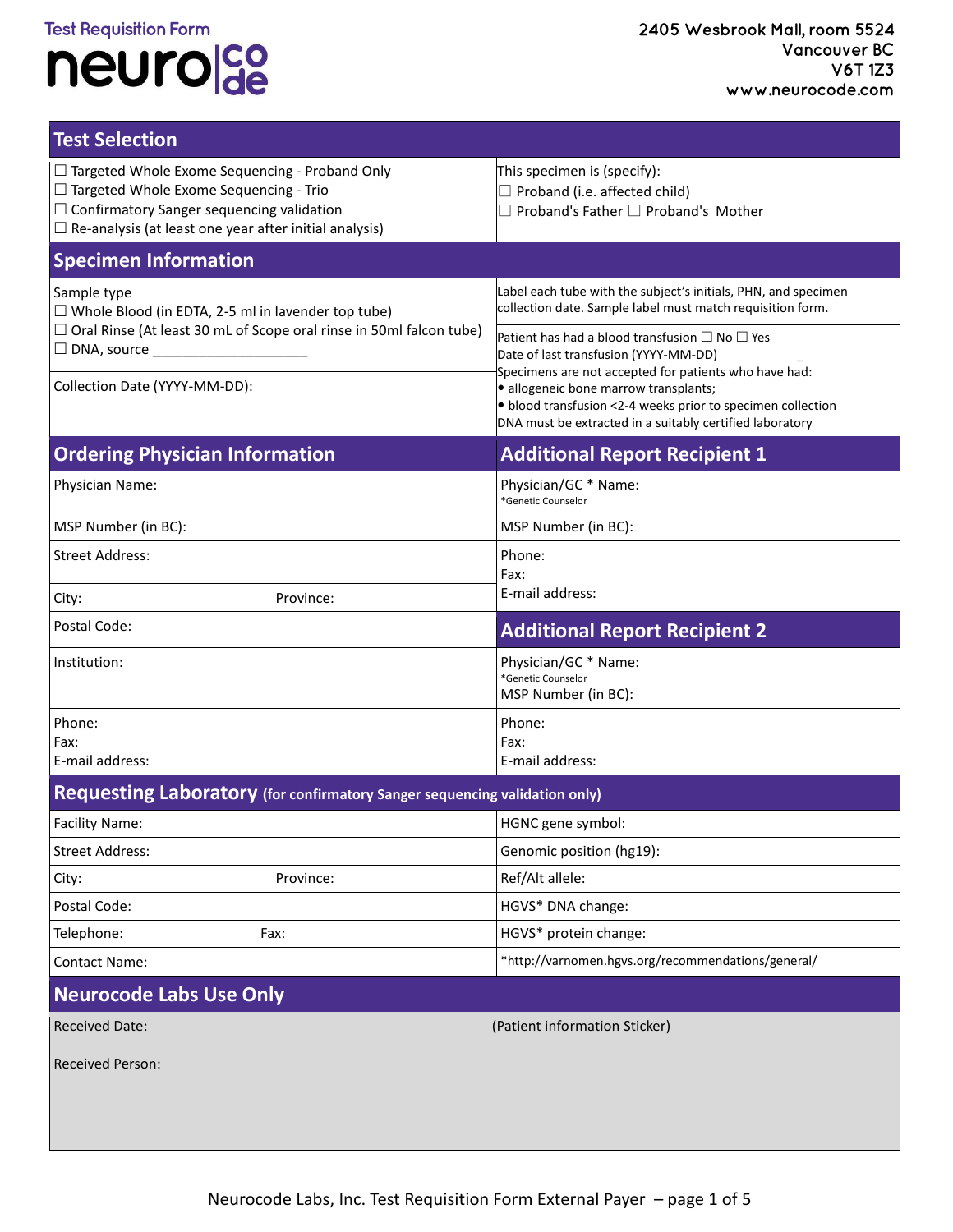## **Test Requisition Form** neurolde

| <b>Test Selection</b>                                                                                                                                                                                                       |                                                                                                                                                                                                                                                                                                                                                                                                                                                                |  |  |  |
|-----------------------------------------------------------------------------------------------------------------------------------------------------------------------------------------------------------------------------|----------------------------------------------------------------------------------------------------------------------------------------------------------------------------------------------------------------------------------------------------------------------------------------------------------------------------------------------------------------------------------------------------------------------------------------------------------------|--|--|--|
| $\Box$ Targeted Whole Exome Sequencing - Proband Only<br>$\Box$ Targeted Whole Exome Sequencing - Trio<br>$\Box$ Confirmatory Sanger sequencing validation<br>$\Box$ Re-analysis (at least one year after initial analysis) | This specimen is (specify):<br>$\Box$ Proband (i.e. affected child)<br>$\Box$ Proband's Father $\Box$ Proband's Mother                                                                                                                                                                                                                                                                                                                                         |  |  |  |
| <b>Specimen Information</b>                                                                                                                                                                                                 |                                                                                                                                                                                                                                                                                                                                                                                                                                                                |  |  |  |
| Sample type<br>$\Box$ Whole Blood (in EDTA, 2-5 ml in lavender top tube)<br>$\Box$ Oral Rinse (At least 30 mL of Scope oral rinse in 50ml falcon tube)<br>$\Box$ DNA, source<br>Collection Date (YYYY-MM-DD):               | Label each tube with the subject's initials, PHN, and specimen<br>collection date. Sample label must match requisition form.<br>Patient has had a blood transfusion $\Box$ No $\Box$ Yes<br>Date of last transfusion (YYYY-MM-DD)<br>Specimens are not accepted for patients who have had:<br>· allogeneic bone marrow transplants;<br>• blood transfusion <2-4 weeks prior to specimen collection<br>DNA must be extracted in a suitably certified laboratory |  |  |  |
| <b>Ordering Physician Information</b>                                                                                                                                                                                       | <b>Additional Report Recipient 1</b>                                                                                                                                                                                                                                                                                                                                                                                                                           |  |  |  |
| Physician Name:                                                                                                                                                                                                             | Physician/GC * Name:<br>*Genetic Counselor                                                                                                                                                                                                                                                                                                                                                                                                                     |  |  |  |
| MSP Number (in BC):                                                                                                                                                                                                         | MSP Number (in BC):                                                                                                                                                                                                                                                                                                                                                                                                                                            |  |  |  |
| <b>Street Address:</b>                                                                                                                                                                                                      | Phone:<br>Fax:                                                                                                                                                                                                                                                                                                                                                                                                                                                 |  |  |  |
| Province:<br>City:                                                                                                                                                                                                          | E-mail address:                                                                                                                                                                                                                                                                                                                                                                                                                                                |  |  |  |
| Postal Code:                                                                                                                                                                                                                | <b>Additional Report Recipient 2</b>                                                                                                                                                                                                                                                                                                                                                                                                                           |  |  |  |
| Institution:                                                                                                                                                                                                                | Physician/GC * Name:<br>*Genetic Counselor<br>MSP Number (in BC):                                                                                                                                                                                                                                                                                                                                                                                              |  |  |  |
| Phone:                                                                                                                                                                                                                      | Phone:                                                                                                                                                                                                                                                                                                                                                                                                                                                         |  |  |  |
| Fax:<br>E-mail address:                                                                                                                                                                                                     | Fax:<br>E-mail address:                                                                                                                                                                                                                                                                                                                                                                                                                                        |  |  |  |
| Requesting Laboratory (for confirmatory Sanger sequencing validation only)                                                                                                                                                  |                                                                                                                                                                                                                                                                                                                                                                                                                                                                |  |  |  |
| Facility Name:                                                                                                                                                                                                              | HGNC gene symbol:                                                                                                                                                                                                                                                                                                                                                                                                                                              |  |  |  |
| <b>Street Address:</b>                                                                                                                                                                                                      | Genomic position (hg19):                                                                                                                                                                                                                                                                                                                                                                                                                                       |  |  |  |
| Province:<br>City:                                                                                                                                                                                                          | Ref/Alt allele:                                                                                                                                                                                                                                                                                                                                                                                                                                                |  |  |  |
| Postal Code:                                                                                                                                                                                                                | HGVS* DNA change:                                                                                                                                                                                                                                                                                                                                                                                                                                              |  |  |  |
| Telephone:<br>Fax:                                                                                                                                                                                                          | HGVS* protein change:                                                                                                                                                                                                                                                                                                                                                                                                                                          |  |  |  |
| <b>Contact Name:</b>                                                                                                                                                                                                        | *http://varnomen.hgvs.org/recommendations/general/                                                                                                                                                                                                                                                                                                                                                                                                             |  |  |  |
| <b>Neurocode Labs Use Only</b>                                                                                                                                                                                              |                                                                                                                                                                                                                                                                                                                                                                                                                                                                |  |  |  |
| <b>Received Date:</b>                                                                                                                                                                                                       | (Patient information Sticker)                                                                                                                                                                                                                                                                                                                                                                                                                                  |  |  |  |
| <b>Received Person:</b>                                                                                                                                                                                                     |                                                                                                                                                                                                                                                                                                                                                                                                                                                                |  |  |  |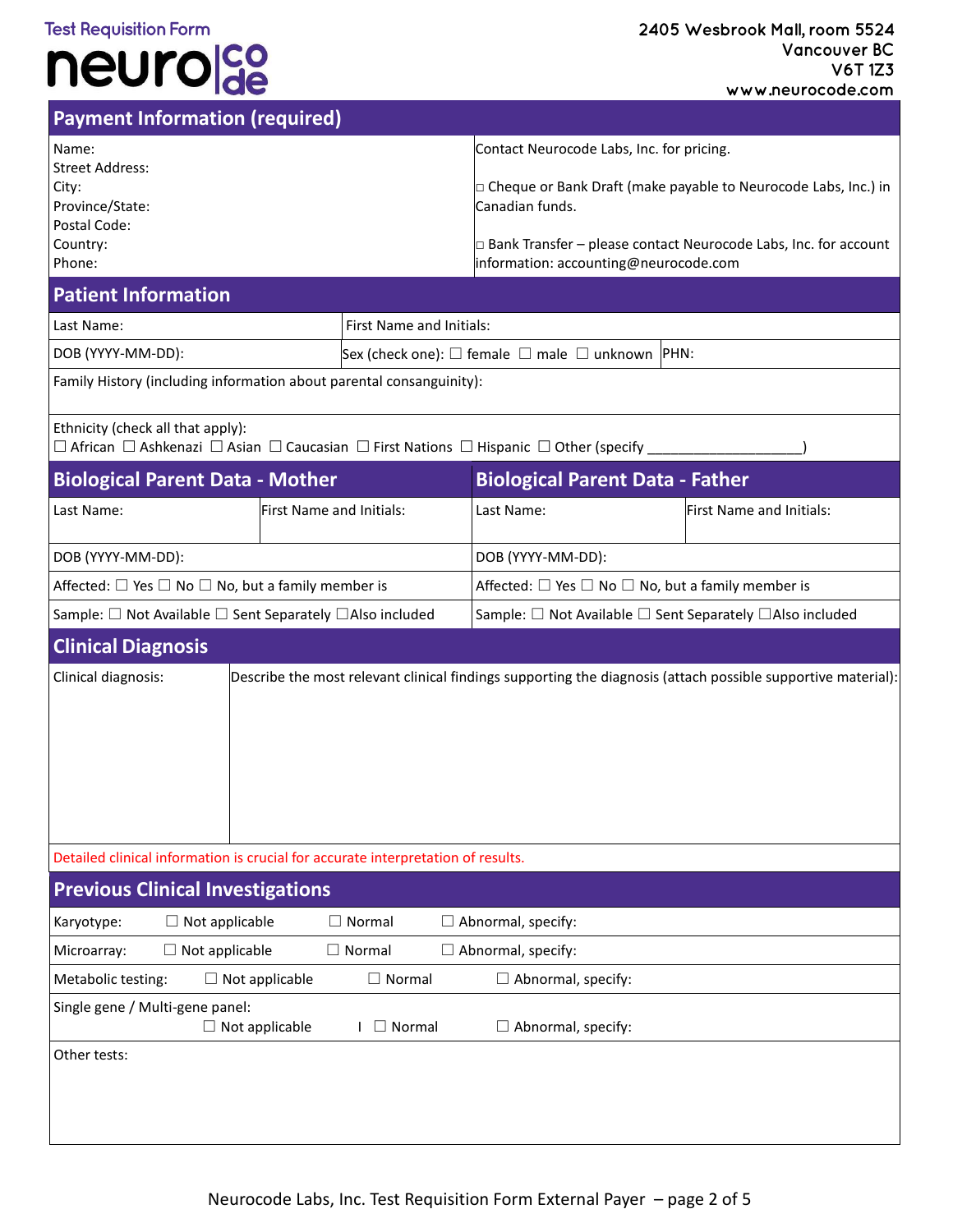#### **Test Requisition Form**

# neurolde

|                                                                                                   | <b>I W</b>                                                                                                             |                                                                  |                                                                                                                          | www.neurocoae.com                                                                                                                     |  |  |
|---------------------------------------------------------------------------------------------------|------------------------------------------------------------------------------------------------------------------------|------------------------------------------------------------------|--------------------------------------------------------------------------------------------------------------------------|---------------------------------------------------------------------------------------------------------------------------------------|--|--|
|                                                                                                   | <b>Payment Information (required)</b>                                                                                  |                                                                  |                                                                                                                          |                                                                                                                                       |  |  |
| Name:<br><b>Street Address:</b><br>City:<br>Province/State:<br>Postal Code:<br>Country:<br>Phone: |                                                                                                                        |                                                                  | Contact Neurocode Labs, Inc. for pricing.<br>Canadian funds.<br>information: accounting@neurocode.com                    | □ Cheque or Bank Draft (make payable to Neurocode Labs, Inc.) in<br>□ Bank Transfer - please contact Neurocode Labs, Inc. for account |  |  |
| <b>Patient Information</b>                                                                        |                                                                                                                        |                                                                  |                                                                                                                          |                                                                                                                                       |  |  |
| Last Name:                                                                                        |                                                                                                                        | First Name and Initials:                                         |                                                                                                                          |                                                                                                                                       |  |  |
| DOB (YYYY-MM-DD):                                                                                 |                                                                                                                        | Sex (check one): $\Box$ female $\Box$ male $\Box$ unknown PHN:   |                                                                                                                          |                                                                                                                                       |  |  |
|                                                                                                   | Family History (including information about parental consanguinity):                                                   |                                                                  |                                                                                                                          |                                                                                                                                       |  |  |
| Ethnicity (check all that apply):                                                                 |                                                                                                                        |                                                                  | $\Box$ African $\Box$ Ashkenazi $\Box$ Asian $\Box$ Caucasian $\Box$ First Nations $\Box$ Hispanic $\Box$ Other (specify |                                                                                                                                       |  |  |
|                                                                                                   | <b>Biological Parent Data - Mother</b>                                                                                 |                                                                  | <b>Biological Parent Data - Father</b>                                                                                   |                                                                                                                                       |  |  |
| Last Name:                                                                                        | First Name and Initials:                                                                                               |                                                                  | Last Name:                                                                                                               | First Name and Initials:                                                                                                              |  |  |
| DOB (YYYY-MM-DD):                                                                                 |                                                                                                                        |                                                                  | DOB (YYYY-MM-DD):                                                                                                        |                                                                                                                                       |  |  |
| Affected: $\Box$ Yes $\Box$ No $\Box$ No, but a family member is                                  |                                                                                                                        | Affected: $\Box$ Yes $\Box$ No $\Box$ No, but a family member is |                                                                                                                          |                                                                                                                                       |  |  |
|                                                                                                   | Sample: □ Not Available □ Sent Separately □ Also included<br>Sample: □ Not Available □ Sent Separately □ Also included |                                                                  |                                                                                                                          |                                                                                                                                       |  |  |
| <b>Clinical Diagnosis</b>                                                                         |                                                                                                                        |                                                                  |                                                                                                                          |                                                                                                                                       |  |  |
| Clinical diagnosis:                                                                               |                                                                                                                        |                                                                  |                                                                                                                          | Describe the most relevant clinical findings supporting the diagnosis (attach possible supportive material):                          |  |  |
| Detailed clinical information is crucial for accurate interpretation of results.                  |                                                                                                                        |                                                                  |                                                                                                                          |                                                                                                                                       |  |  |
| <b>Previous Clinical Investigations</b>                                                           |                                                                                                                        |                                                                  |                                                                                                                          |                                                                                                                                       |  |  |
| Karyotype:                                                                                        | $\Box$ Not applicable                                                                                                  | $\Box$ Normal                                                    | $\Box$ Abnormal, specify:                                                                                                |                                                                                                                                       |  |  |
| Microarray:                                                                                       | $\Box$ Not applicable                                                                                                  | $\Box$ Normal                                                    | $\Box$ Abnormal, specify:                                                                                                |                                                                                                                                       |  |  |
| Metabolic testing:                                                                                | $\Box$ Not applicable                                                                                                  | $\Box$ Normal                                                    | $\Box$ Abnormal, specify:                                                                                                |                                                                                                                                       |  |  |
| Single gene / Multi-gene panel:<br>Other tests:                                                   | $\Box$ Not applicable                                                                                                  | $\Box$ Normal                                                    | $\Box$ Abnormal, specify:                                                                                                |                                                                                                                                       |  |  |
|                                                                                                   |                                                                                                                        |                                                                  |                                                                                                                          |                                                                                                                                       |  |  |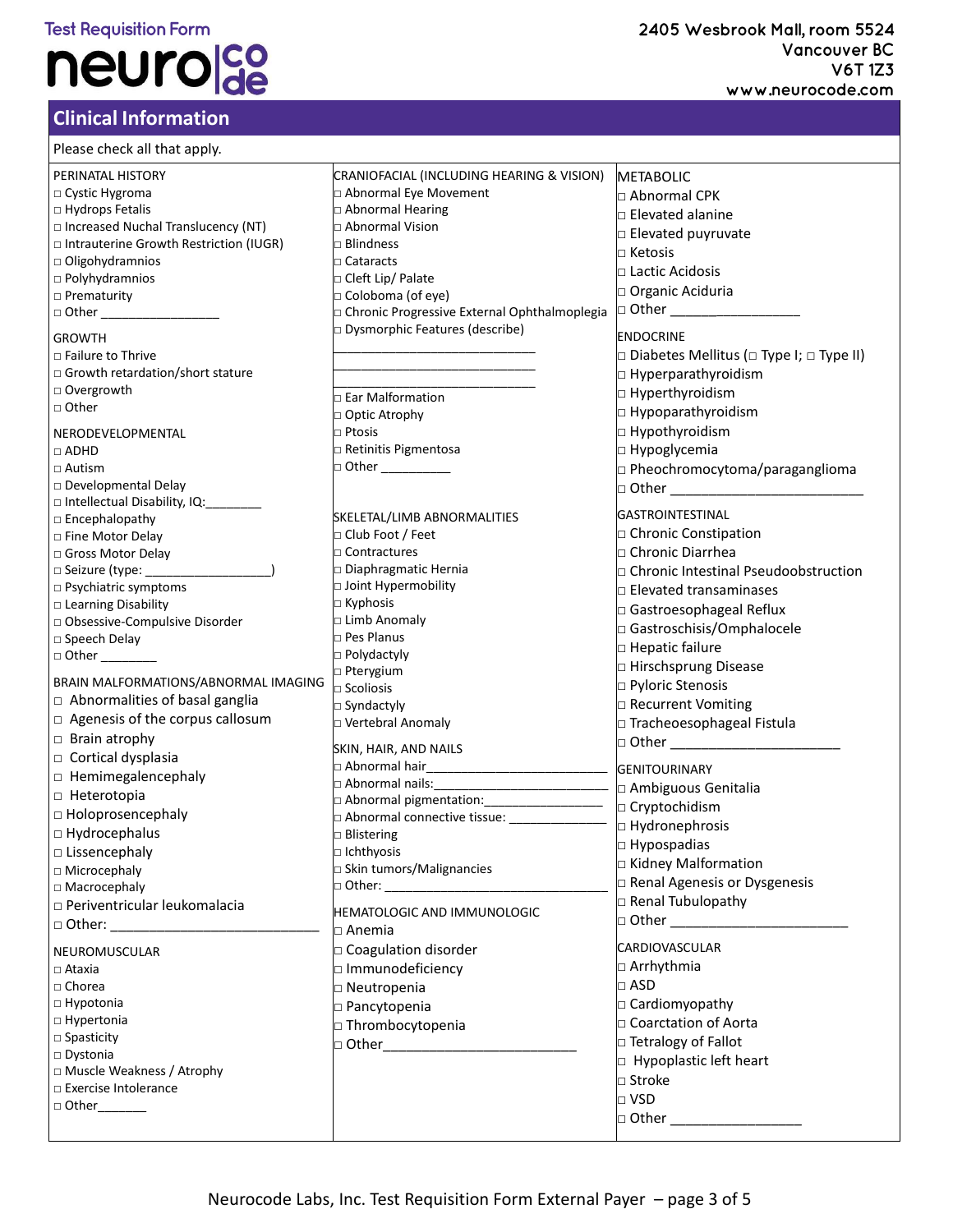#### **Test Requisition Form**

# neurolco

#### **Clinical Information**

| Please check all that apply.             |                                                |                                                           |
|------------------------------------------|------------------------------------------------|-----------------------------------------------------------|
| PERINATAL HISTORY                        | CRANIOFACIAL (INCLUDING HEARING & VISION)      | METABOLIC                                                 |
| $\Box$ Cystic Hygroma                    | □ Abnormal Eye Movement                        | □ Abnormal CPK                                            |
| □ Hydrops Fetalis                        | □ Abnormal Hearing                             | $\Box$ Elevated alanine                                   |
| □ Increased Nuchal Translucency (NT)     | □ Abnormal Vision                              | $\Box$ Elevated puyruvate                                 |
| □ Intrauterine Growth Restriction (IUGR) | $\square$ Blindness                            |                                                           |
| $\Box$ Oligohydramnios                   | $\Box$ Cataracts                               | $\Box$ Ketosis                                            |
| $\Box$ Polyhydramnios                    | □ Cleft Lip/ Palate                            | □ Lactic Acidosis                                         |
| $\Box$ Prematurity                       | □ Coloboma (of eye)                            | □ Organic Aciduria                                        |
| □ Other __________________               | □ Chronic Progressive External Ophthalmoplegia | □ Other _________________                                 |
| <b>GROWTH</b>                            | Dysmorphic Features (describe)                 | <b>ENDOCRINE</b>                                          |
| $\Box$ Failure to Thrive                 |                                                | $\Box$ Diabetes Mellitus ( $\Box$ Type I; $\Box$ Type II) |
| □ Growth retardation/short stature       |                                                | □ Hyperparathyroidism                                     |
| □ Overgrowth                             |                                                |                                                           |
| □ Other                                  | □ Ear Malformation                             | □ Hyperthyroidism                                         |
|                                          | □ Optic Atrophy                                | □ Hypoparathyroidism                                      |
| NERODEVELOPMENTAL                        | $\Box$ Ptosis                                  | □ Hypothyroidism                                          |
| $\Box$ ADHD                              | □ Retinitis Pigmentosa                         | $\Box$ Hypoglycemia                                       |
| $\Box$ Autism                            | □ Other ___________                            | $\Box$ Pheochromocytoma/paraganglioma                     |
| □ Developmental Delay                    |                                                | $\Box$ Other $\Box$                                       |
| □ Intellectual Disability, IQ:           |                                                | <b>GASTROINTESTINAL</b>                                   |
| $\Box$ Encephalopathy                    | SKELETAL/LIMB ABNORMALITIES                    |                                                           |
| □ Fine Motor Delay                       | □ Club Foot / Feet                             | $\Box$ Chronic Constipation                               |
| □ Gross Motor Delay                      | □ Contractures                                 | □ Chronic Diarrhea                                        |
| $\Box$ Seizure (type: $\_\_$             | □ Diaphragmatic Hernia                         | □ Chronic Intestinal Pseudoobstruction                    |
| □ Psychiatric symptoms                   | □ Joint Hypermobility                          | □ Elevated transaminases                                  |
| □ Learning Disability                    | □ Kyphosis                                     | $\Box$ Gastroesophageal Reflux                            |
| □ Obsessive-Compulsive Disorder          | □ Limb Anomaly<br>Pes Planus                   | Gastroschisis/Omphalocele                                 |
| □ Speech Delay                           |                                                | □ Hepatic failure                                         |
| $\Box$ Other                             | □ Polydactyly<br>□ Pterygium                   | □ Hirschsprung Disease                                    |
| BRAIN MALFORMATIONS/ABNORMAL IMAGING     | $\Box$ Scoliosis                               | □ Pyloric Stenosis                                        |
| $\Box$ Abnormalities of basal ganglia    | □ Syndactyly                                   | □ Recurrent Vomiting                                      |
| $\Box$ Agenesis of the corpus callosum   | □ Vertebral Anomaly                            | □ Tracheoesophageal Fistula                               |
| $\Box$ Brain atrophy                     |                                                | $\Box$ Other $\Box$ Other $\Box$ Other $\Box$             |
| □ Cortical dysplasia                     | SKIN, HAIR, AND NAILS                          |                                                           |
| $\Box$ Hemimegalencephaly                |                                                | <b>GENITOURINARY</b>                                      |
|                                          |                                                | $\Box$ Ambiguous Genitalia                                |
| □ Heterotopia                            |                                                |                                                           |
| □ Holoprosencephaly                      | □ Abnormal connective tissue: ________________ | $\Box$ Hydronephrosis                                     |
| $\Box$ Hydrocephalus                     | <b>Blistering</b>                              | $\Box$ Hypospadias                                        |
| □ Lissencephaly                          | $\Box$ Ichthyosis                              | □ Kidney Malformation                                     |
| □ Microcephaly                           | □ Skin tumors/Malignancies                     | <b>D</b> Renal Agenesis or Dysgenesis                     |
| □ Macrocephaly                           | □ Other: ___________________                   |                                                           |
| □ Periventricular leukomalacia           | HEMATOLOGIC AND IMMUNOLOGIC                    | □ Renal Tubulopathy                                       |
|                                          | $\square$ Anemia                               | $\Box$ Other $\Box$                                       |
| NEUROMUSCULAR                            | □ Coagulation disorder                         | <b>CARDIOVASCULAR</b>                                     |
| $\Box$ Ataxia                            | □ Immunodeficiency                             | □ Arrhythmia                                              |
| $\Box$ Chorea                            |                                                | $\Box$ ASD                                                |
| $\Box$ Hypotonia                         | □ Neutropenia                                  | □ Cardiomyopathy                                          |
| □ Hypertonia                             | □ Pancytopenia                                 |                                                           |
| $\square$ Spasticity                     | □ Thrombocytopenia                             | □ Coarctation of Aorta                                    |
| □ Dystonia                               |                                                | □ Tetralogy of Fallot                                     |
| □ Muscle Weakness / Atrophy              |                                                | $\Box$ Hypoplastic left heart                             |
| □ Exercise Intolerance                   |                                                | □ Stroke                                                  |
|                                          |                                                | $\Box$ VSD                                                |
|                                          |                                                | □ Other ____________                                      |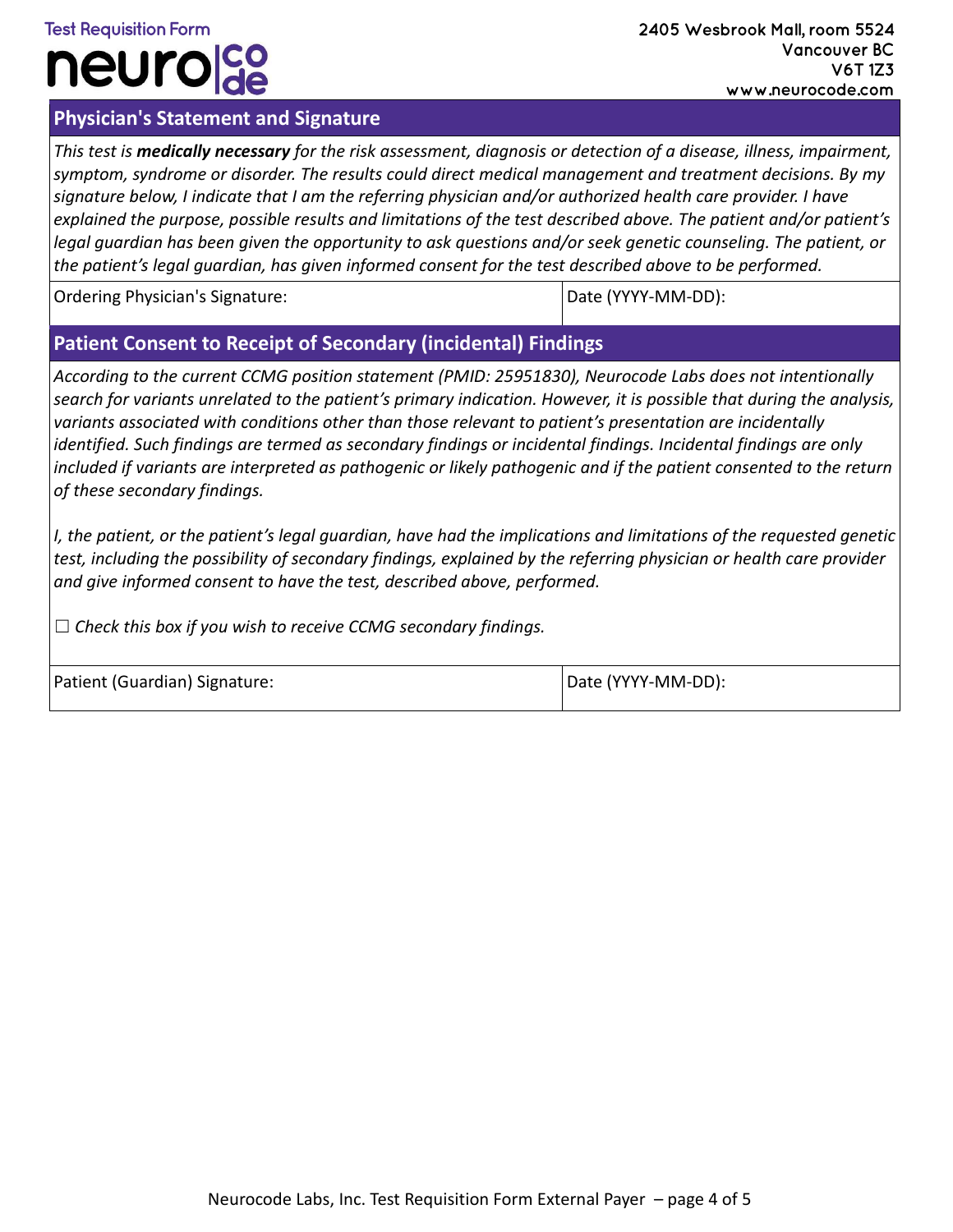### **Test Requisition Form neurola**

#### **Physician's Statement and Signature**

*This test is medically necessary for the risk assessment, diagnosis or detection of a disease, illness, impairment, symptom, syndrome or disorder. The results could direct medical management and treatment decisions. By my signature below, I indicate that I am the referring physician and/or authorized health care provider. I have explained the purpose, possible results and limitations of the test described above. The patient and/or patient's*  legal guardian has been given the opportunity to ask questions and/or seek genetic counseling. The patient, or *the patient's legal guardian, has given informed consent for the test described above to be performed.*

Ordering Physician's Signature:  $\Box$  Date (YYYY-MM-DD):

#### **Patient Consent to Receipt of Secondary (incidental) Findings**

*According to the current CCMG position statement (PMID: 25951830), Neurocode Labs does not intentionally search for variants unrelated to the patient's primary indication. However, it is possible that during the analysis, variants associated with conditions other than those relevant to patient's presentation are incidentally identified. Such findings are termed as secondary findings or incidental findings. Incidental findings are only*  included if variants are interpreted as pathogenic or likely pathogenic and if the patient consented to the return *of these secondary findings.* 

*I, the patient, or the patient's legal guardian, have had the implications and limitations of the requested genetic test, including the possibility of secondary findings, explained by the referring physician or health care provider and give informed consent to have the test, described above, performed.*

☐ *Check this box if you wish to receive CCMG secondary findings.*

| Patient (Guardian) Signature: | Date (YYYY-MM-DD): |
|-------------------------------|--------------------|
|                               |                    |